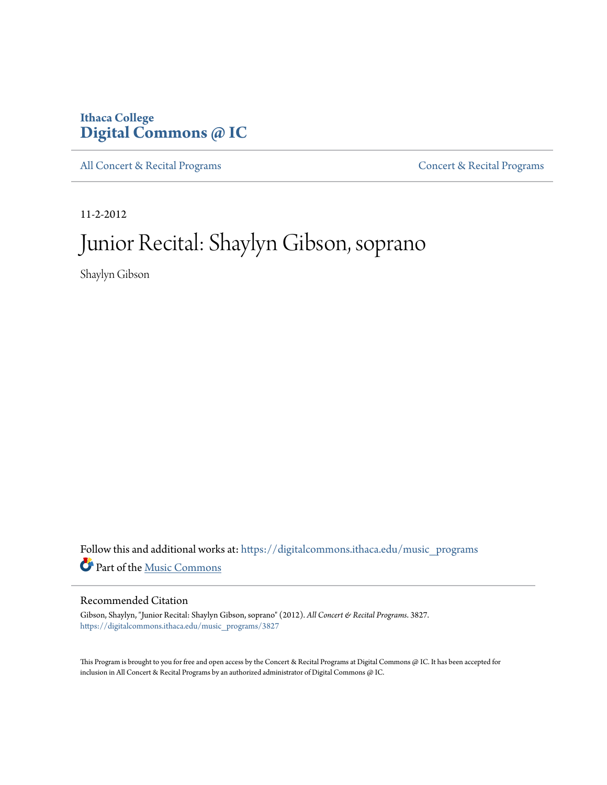# **Ithaca College [Digital Commons @ IC](https://digitalcommons.ithaca.edu?utm_source=digitalcommons.ithaca.edu%2Fmusic_programs%2F3827&utm_medium=PDF&utm_campaign=PDFCoverPages)**

[All Concert & Recital Programs](https://digitalcommons.ithaca.edu/music_programs?utm_source=digitalcommons.ithaca.edu%2Fmusic_programs%2F3827&utm_medium=PDF&utm_campaign=PDFCoverPages) [Concert & Recital Programs](https://digitalcommons.ithaca.edu/som_programs?utm_source=digitalcommons.ithaca.edu%2Fmusic_programs%2F3827&utm_medium=PDF&utm_campaign=PDFCoverPages)

11-2-2012

# Junior Recital: Shaylyn Gibson, soprano

Shaylyn Gibson

Follow this and additional works at: [https://digitalcommons.ithaca.edu/music\\_programs](https://digitalcommons.ithaca.edu/music_programs?utm_source=digitalcommons.ithaca.edu%2Fmusic_programs%2F3827&utm_medium=PDF&utm_campaign=PDFCoverPages) Part of the [Music Commons](http://network.bepress.com/hgg/discipline/518?utm_source=digitalcommons.ithaca.edu%2Fmusic_programs%2F3827&utm_medium=PDF&utm_campaign=PDFCoverPages)

### Recommended Citation

Gibson, Shaylyn, "Junior Recital: Shaylyn Gibson, soprano" (2012). *All Concert & Recital Programs*. 3827. [https://digitalcommons.ithaca.edu/music\\_programs/3827](https://digitalcommons.ithaca.edu/music_programs/3827?utm_source=digitalcommons.ithaca.edu%2Fmusic_programs%2F3827&utm_medium=PDF&utm_campaign=PDFCoverPages)

This Program is brought to you for free and open access by the Concert & Recital Programs at Digital Commons @ IC. It has been accepted for inclusion in All Concert & Recital Programs by an authorized administrator of Digital Commons @ IC.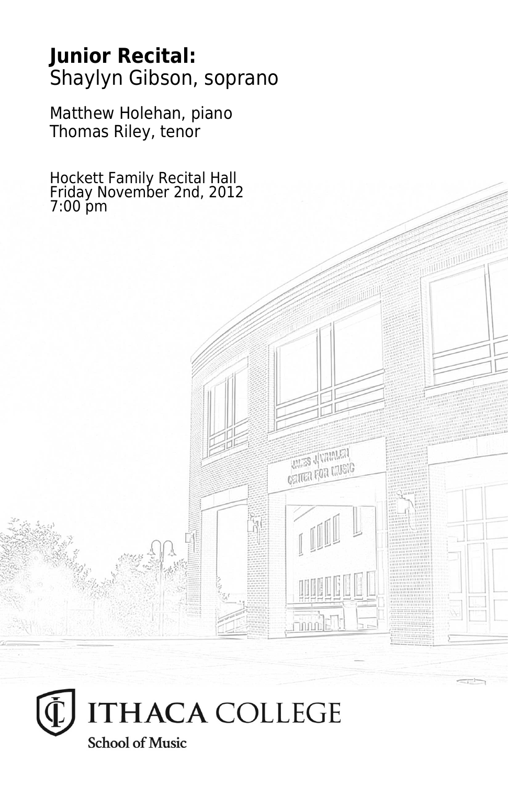# **Junior Recital:** Shaylyn Gibson, soprano

Matthew Holehan, piano Thomas Riley, tenor

Hockett Family Recital Hall Friday November 2nd, 2012 7:00 pm

**THES JUVALATA CRITER FOR LIVEIG** 

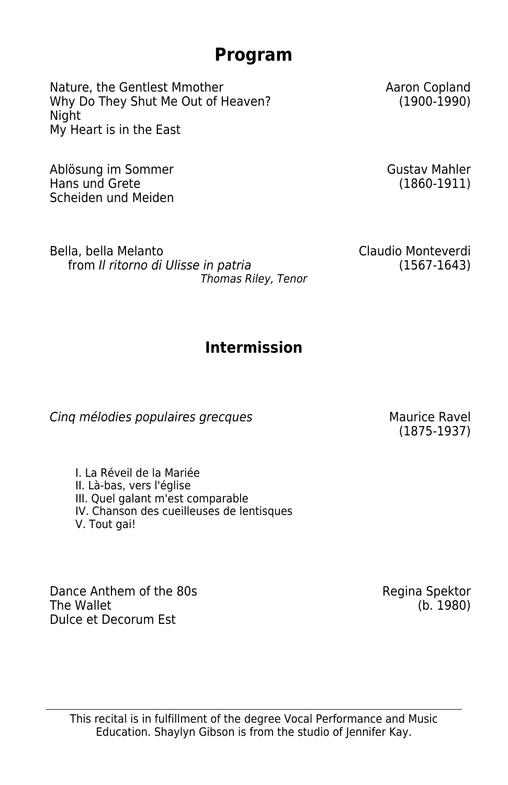# **Program**

Nature, the Gentlest Mmother Why Do They Shut Me Out of Heaven? Night My Heart is in the East

Ablösung im Sommer Hans und Grete Scheiden und Meiden Aaron Copland (1900-1990)

Gustav Mahler (1860-1911)

Bella, bella Melanto from *Il ritorno di Ulisse in patria Thomas Riley, Tenor* Claudio Monteverdi (1567-1643)

## **Intermission**

**Cing mélodies populaires grecques** Maurice Ravel

(1875-1937)

I. La Réveil de la Mariée II. Là-bas, vers l'église III. Quel galant m'est comparable IV. Chanson des cueilleuses de lentisques V. Tout gai!

Dance Anthem of the 80s The Wallet Dulce et Decorum Est

Regina Spektor (b. 1980)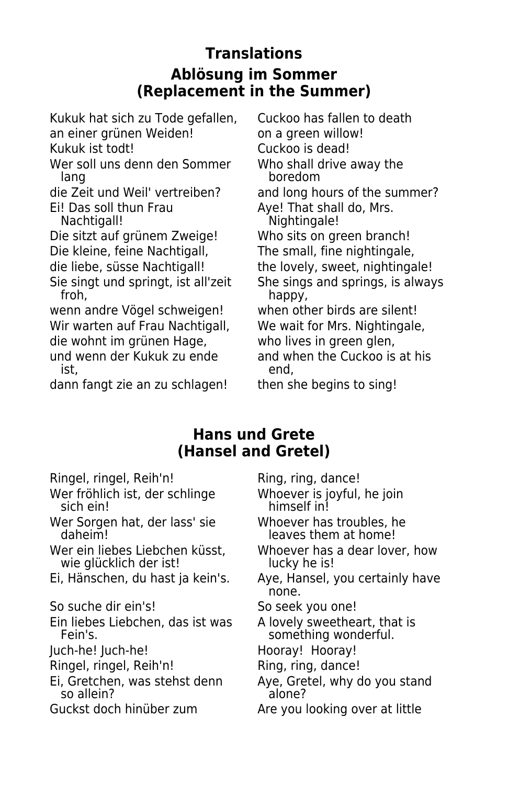## **Translations Ablösung im Sommer (Replacement in the Summer)**

Kukuk hat sich zu Tode gefallen, Cuckoo has fallen to death

an einer grünen Weiden! The von a green willow!

Wer soll uns denn den Sommer<br>Iang

Ei! Das soll thun Frau Aye! That shall do, Mrs.<br>Nachtigal!! Nachtigal!

Die sitzt auf grünem Zweige! Who sits on green branch!

Die kleine, feine Nachtigall, The small, fine nightingale,

wenn andre Vögel schweigen! when other birds are silent! Wir warten auf Frau Nachtigall, We wait for Mrs. Nightingale, die wohnt im grünen Hage, by who lives in green glen,<br>und wenn der Kukuk zu ende by and when the Cuckoo is at his und wenn der Kukuk zu ende ist, end,

dann fangt zie an zu schlagen! then she begins to sing!

Kukuk ist todt!<br>Wer soll uns denn den Sommer Who shall drive away the boredom die Zeit und Weil' vertreiben? and long hours of the summer? Nightingale! die liebe, süsse Nachtigall! the lovely, sweet, nightingale! Sie singt und springt, ist all'zeit She sings and springs, is always<br>froh. bappy. happy,

## **Hans und Grete (Hansel and Gretel)**

Ringel, ringel, Reih'n! Ring, ring, dance!

Wer fröhlich ist, der schlinge Whoever is joyful, he join<br>sich ein! himself in!

Wer Sorgen hat, der lass' sie by a Whoever has troubles, he<br>daheim! daheim! daheim! eaves them at home!

wie glücklich der ist!

So suche dir ein's!<br>
So seek you one!

Ein liebes Liebchen, das ist was A lovely sweetheart, that is<br>Fein's. Something wonderful.

Juch-he! Juch-he! Hooray! Hooray!

Ringel, ringel, Reih'n! Ring, ring, dance!

so allein?

himself in!

leaves them at home!

Wer ein liebes Liebchen küsst, Whoever has a dear lover, how

Ei, Hänschen, du hast ja kein's. Aye, Hansel, you certainly have none.

something wonderful.

Ei, Gretchen, was stehst denn Aye, Gretel, why do you stand<br>So allein?

Guckst doch hinüber zum Are you looking over at little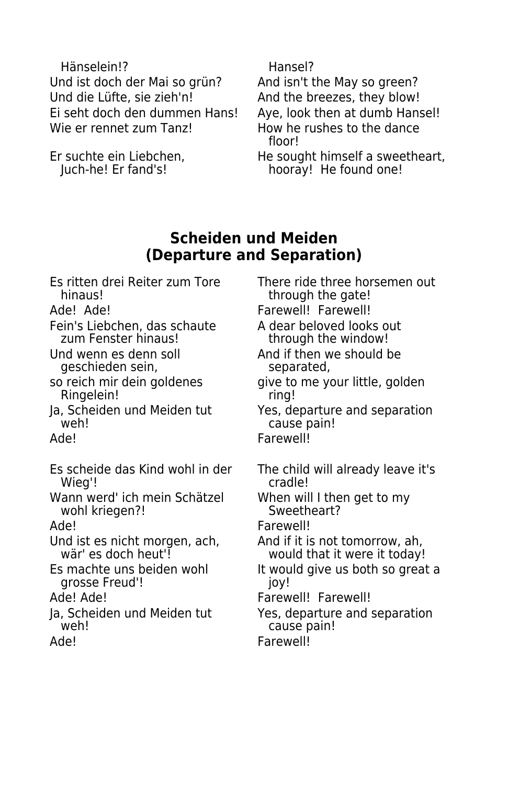Hänselein!? Hansel? Und ist doch der Mai so grün? And isn't the May so green? Und die Lüfte, sie zieh'n! And the breezes, they blow! Ei seht doch den dummen Hans! Aye, look then at dumb Hansel! Wie er rennet zum Tanz!<br>
How he rushes to the dance

Er suchte ein Liebchen,<br>
Juch-he! Er fand's!<br>
He found one!

floor!

hooray! He found one!

### **Scheiden und Meiden (Departure and Separation)**

- Es ritten drei Reiter zum Tore There ride three horsemen out<br>Through the gate!
- 
- Fein's Liebchen, das schaute A dear beloved looks out<br>
zum Fenster hinaus!<br>
through the window!
- geschieden sein,
- Ringelein! The ring!
- 
- 
- Es scheide das Kind wohl in der The child will already leave it's Wieg'!
- Wann werd' ich mein Schätzel When will I then get to my<br>wohl kriegen?! Sweetheart? wohl kriegen?!
- 
- Und ist es nicht morgen, ach, And if it is not tomorrow, ah,<br>wär' es doch heut'! wauld that it were it today!
- grosse Freud'! [joy!]
- 
- 
- 
- through the gate! Ade! Ade! **Farewell!** Farewell! through the window!
- Und wenn es denn soll and if then we should be geschieden sein,<br>
geschieden sein, beparated,
- so reich mir dein goldenes give to me your little, golden
- Ja, Scheiden und Meiden tut Yes, departure and separation<br>
veh! cause pain! cause pain!
- Ade! Farewell!
	-
	-
- Ade! Farewell!
	- would that it were it today!
- Es machte uns beiden wohl It would give us both so great a
- Ade! Ade! **Ade!** Ade! **Farewell!** Farewell!
- Ja, Scheiden und Meiden tut Yes, departure and separation<br>Cause pain! cause pain!
- Ade! Farewell!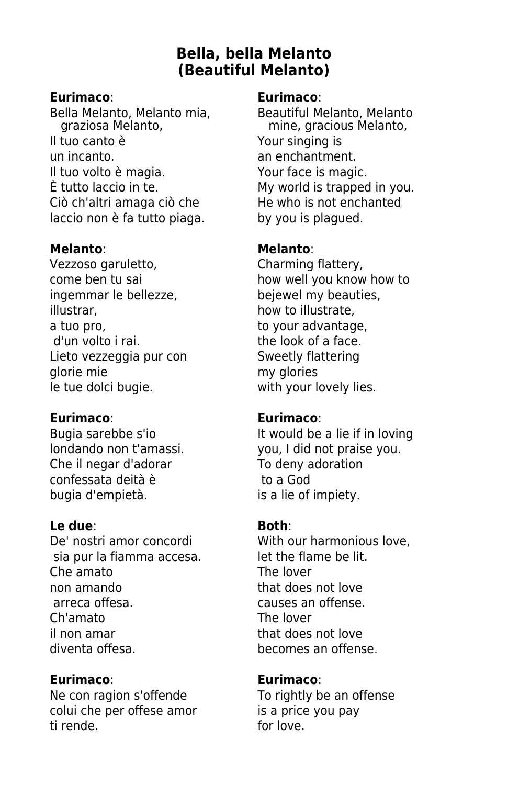## **Bella, bella Melanto (Beautiful Melanto)**

### **Eurimaco**: **Eurimaco**:

Bella Melanto, Melanto mia, Beautiful Melanto, Melanto<br>qraziosa Melanto, mine, gracious Melanto, Il tuo canto è Your singing is un incanto. an enchantment. Il tuo volto è magia. Your face is magic. È tutto laccio in te. My world is trapped in you. Ciò ch'altri amaga ciò che He who is not enchanted laccio non è fa tutto piaga. by you is plagued.

Vezzoso garuletto, Charming flattery, ingemmar le bellezze, bejewel my beauties, illustrar, how to illustrate, a tuo pro, in the second to your advantage,<br>d'un volto i rai.<br>d'un volto i rai. Lieto vezzeggia pur con Sweetly flattering glorie mie<br>le tue dolci bugie. The my glories with your let

### **Eurimaco**: **Eurimaco**:

Che il negar d'adorar To deny adoration<br>
confessata deità è To a God confessata deità è bugia d'empietà.<br>
is a lie of impiety.

### **Le due**: **Both**:

De' nostri amor concordi With our harmonious love. sia pur la fiamma accesa. See let the flame be lit. Che amato The lover non amando that does not love arreca offesa. causes an offense. Ch'amato The lover il non amar that does not love diventa offesa. **becomes** an offense.

### **Eurimaco**: **Eurimaco**:

Ne con ragion s'offende To rightly be an offense colui che per offese amor is a price you pay ti rende. for love.

mine, gracious Melanto,

### **Melanto**: **Melanto**:

come ben tu sai how well you know how to the look of a face. with your lovely lies.

Bugia sarebbe s'io **It would be a lie if in loving** londando non t'amassi. vou, I did not praise you.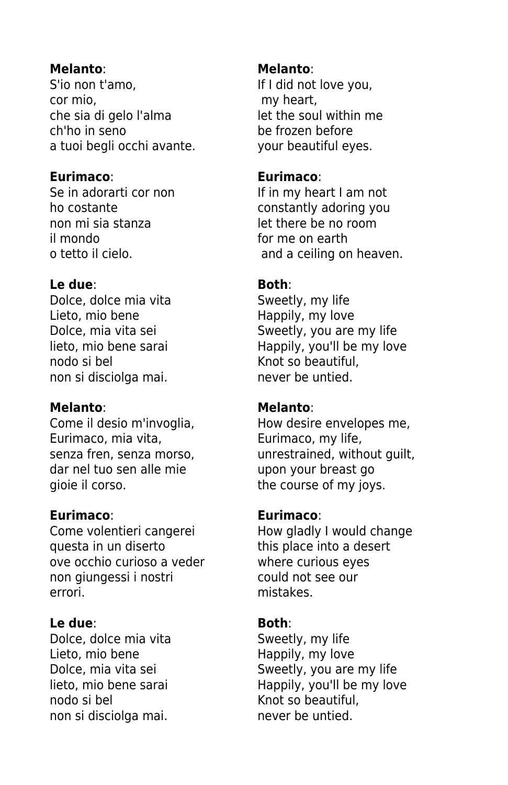S'io non t'amo, sould be a lif I did not love you, cor mio, my heart, che sia di gelo l'alma let the soul within me ch'ho in seno be frozen before a tuoi begli occhi avante. your beautiful eyes.

### **Eurimaco**: **Eurimaco**:

non mi sia stanza let there be no room il mondo for me on earth

### **Le due**: **Both**:

Dolce, dolce mia vita Sweetly, my life Lieto, mio bene the entity of the Happily, my love nodo si bel knot so beautiful, non si disciolga mai. 
http://www.inever be untied.

### **Melanto**: **Melanto**:

Eurimaco, mia vita, Eurimaco, my life, dar nel tuo sen alle mie van upon your breast go gioie il corso.  $\qquad \qquad$  the course of my joys.

Come volentieri cangerei How gladly I would change questa in un diserto this place into a desert ove occhio curioso a veder where curious eyes non giungessi i nostri entrante could not see our errori. **mistakes.** 

### **Le due**: **Both**:

Dolce, dolce mia vita Sweetly, my life Lieto, mio bene Happily, my love nodo si bel Knot so beautiful, non si disciolga mai. The never be untied.

### **Melanto**: **Melanto**:

Se in adorarti cor non If in my heart I am not ho costante constantly adoring you o tetto il cielo. and a ceiling on heaven.

Dolce, mia vita sei Sweetly, you are my life lieto, mio bene sarai enterabilismo Happily, you'll be my love

Come il desio m'invoglia, Botto How desire envelopes me, senza fren, senza morso, unrestrained, without guilt,

### **Eurimaco**: **Eurimaco**:

Dolce, mia vita sei sould be sould be sweetly, you are my life lieto, mio bene sarai **Happily**, you'll be my love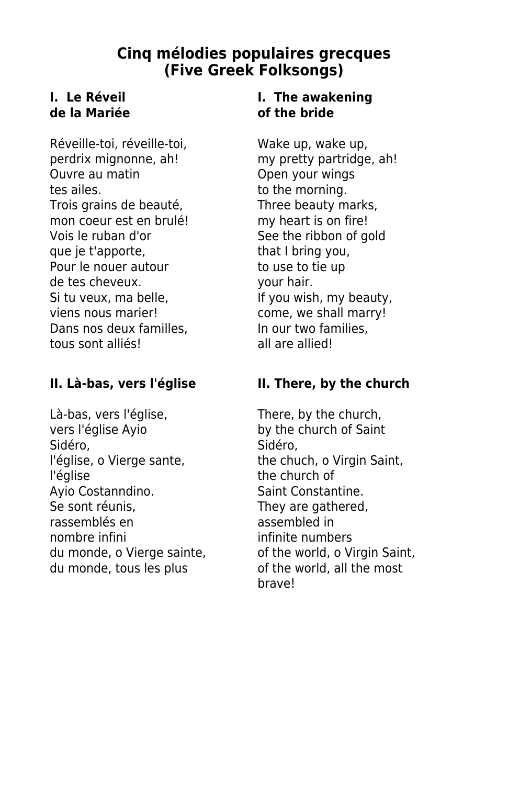## **Cinq mélodies populaires grecques (Five Greek Folksongs)**

# **de la Mariée of the bride**

Réveille-toi, réveille-toi, wake up, wake up, perdrix mignonne, ah! my pretty partridge, ah! Ouvre au matin **Open your wings** tes ailes. to the morning. Trois grains de beauté, Three beauty marks, mon coeur est en brulé! my heart is on fire! Vois le ruban d'or See the ribbon of gold que je t'apporte, that I bring you, Pour le nouer autour to use to tie up de tes cheveux. your hair. Si tu veux, ma belle, In the May ou wish, my beauty, viens nous marier! come, we shall marry! Dans nos deux familles, **In our two families**, tous sont alliés!<br>
all are allied!

Là-bas, vers l'église,<br>
vers l'église Ayio<br>
vers l'église Ayio<br>
vers l'église Ayio Sidéro,<br>l'église, o Vierge sante, en la the chu l'église the church of<br>Avio Costanndino.<br>Saint Constan Se sont réunis, They are gathered, rassemblés en assembled in nombre infini du monde, tous les plus of the world, all the most

# **I.** Le Réveil **I.** The awakening

### **II. Là-bas, vers l'église II. There, by the church**

by the church of Saint the chuch, o Virgin Saint, Saint Constantine. du monde, o Vierge sainte, only of the world, o Virgin Saint, brave!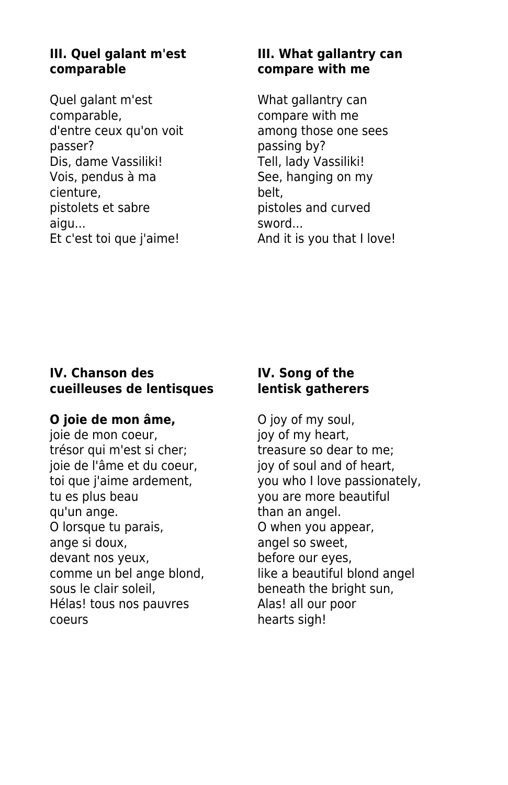# **comparable compare with me**

Quel galant m'est What gallantry can comparable,<br>
d'entre ceux qu'on voit d'among those one passer? passing by? Dis, dame Vassiliki! Tell, lady Vassiliki! Vois, pendus à ma<br>See, hanging on my cienture, belt, pistolets et sabre pistoles and curved aigu... sword...

# **III. Quel galant m'est III. What gallantry can**

among those one sees Et c'est toi que j'aime! And it is you that I love!

### **IV. Chanson des IV. Song of the cueilleuses de lentisques lentisk gatherers**

joie de mon coeur, trésor qui m'est si cher; treasure so dear to me; joie de l'âme et du coeur, joy of soul and of heart, tu es plus beau vou are more beautiful qu'un ange. Than an angel. O lorsque tu parais, **O** when you appear, ange si doux, angel so sweet, devant nos yeux, before our eyes, comme un bel ange blond, like a beautiful blond angel sous le clair soleil, beneath the bright sun, Hélas! tous nos pauvres Alas! all our poor coeurs hearts sigh!

**O joie de mon âme,** O joy of my soul, <br>
joie de mon coeur, **blue is a long i** joy of my heart, toi que j'aime ardement, you who I love passionately,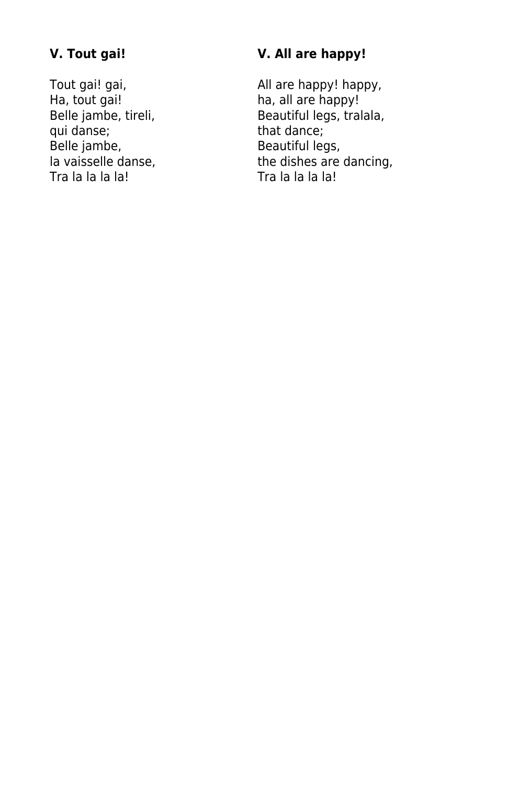Ha, tout gai!<br>
Belle jambe, tireli, 
Hall are happy!<br>
Beautiful legs, tral qui danse;<br>Belle jambe, Belle jambe, Beautiful legs, Beautiful legs, In vaisselle danse,

### **V. Tout gai! V. All are happy!**

Tout gai! gai, and a solution of the All are happy! happy, happy! happy! Beautiful legs, tralala,<br>that dance; la vaisselle danse, the dishes are dancing,<br>Tra la la la la la!<br>Tra la la la!<br>Tra la la la! Tra la la la la!